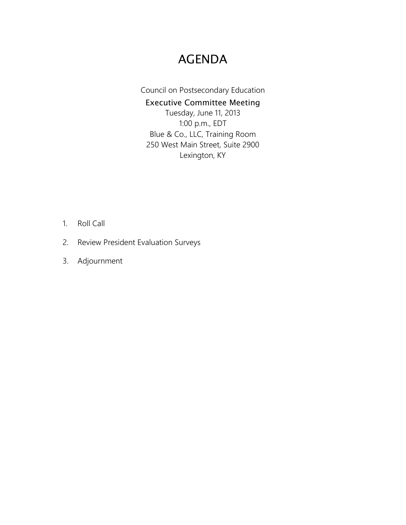# AGENDA

Council on Postsecondary Education Executive Committee Meeting Tuesday, June 11, 2013 1:00 p.m., EDT Blue & Co., LLC, Training Room 250 West Main Street, Suite 2900 Lexington, KY

- 1. Roll Call
- 2. Review President Evaluation Surveys
- 3. Adjournment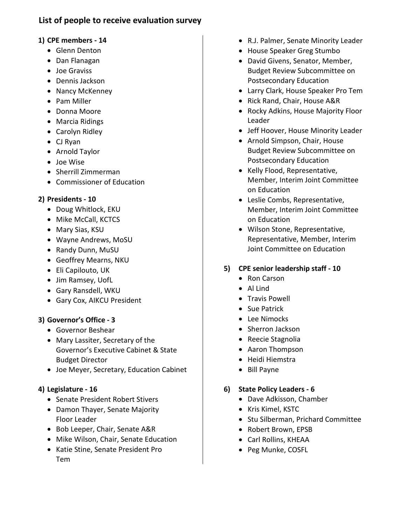# **List of people to receive evaluation survey**

### **1) CPE members - 14**

- Glenn Denton
- Dan Flanagan
- Joe Graviss
- Dennis Jackson
- Nancy McKenney
- Pam Miller
- Donna Moore
- Marcia Ridings
- Carolyn Ridley
- CJ Ryan
- Arnold Taylor
- Joe Wise
- Sherrill Zimmerman
- Commissioner of Education

### **2) Presidents - 10**

- Doug Whitlock, EKU
- Mike McCall, KCTCS
- Mary Sias, KSU
- Wayne Andrews, MoSU
- Randy Dunn, MuSU
- Geoffrey Mearns, NKU
- Eli Capilouto, UK
- Jim Ramsey, UofL
- Gary Ransdell, WKU
- Gary Cox, AIKCU President

# **3) Governor's Office - 3**

- Governor Beshear
- Mary Lassiter, Secretary of the Governor's Executive Cabinet & State Budget Director
- Joe Meyer, Secretary, Education Cabinet

# **4) Legislature - 16**

- Senate President Robert Stivers
- Damon Thayer, Senate Majority Floor Leader
- Bob Leeper, Chair, Senate A&R
- Mike Wilson, Chair, Senate Education
- Katie Stine, Senate President Pro Tem
- R.J. Palmer, Senate Minority Leader
- House Speaker Greg Stumbo
- David Givens, Senator, Member, Budget Review Subcommittee on Postsecondary Education
- Larry Clark, House Speaker Pro Tem
- Rick Rand, Chair, House A&R
- Rocky Adkins, House Majority Floor Leader
- Jeff Hoover, House Minority Leader
- Arnold Simpson, Chair, House Budget Review Subcommittee on Postsecondary Education
- Kelly Flood, Representative, Member, Interim Joint Committee on Education
- Leslie Combs, Representative, Member, Interim Joint Committee on Education
- Wilson Stone, Representative, Representative, Member, Interim Joint Committee on Education

# **5) CPE senior leadership staff - 10**

- Ron Carson
- Al Lind
- Travis Powell
- Sue Patrick
- Lee Nimocks
- Sherron Jackson
- Reecie Stagnolia
- Aaron Thompson
- Heidi Hiemstra
- Bill Payne

### **6) State Policy Leaders - 6**

- Dave Adkisson, Chamber
- Kris Kimel, KSTC
- Stu Silberman, Prichard Committee
- Robert Brown, EPSB
- Carl Rollins, KHEAA
- Peg Munke, COSFL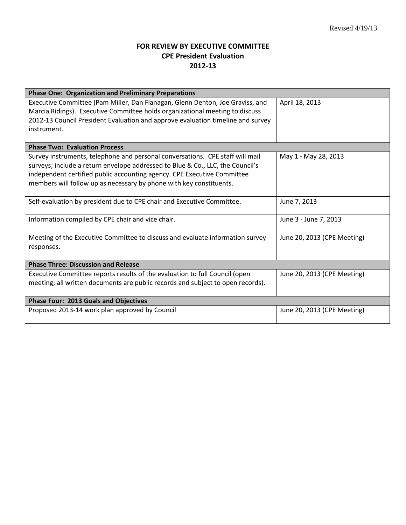# **FOR REVIEW BY EXECUTIVE COMMITTEE CPE President Evaluation 2012-13**

| <b>Phase One: Organization and Preliminary Preparations</b>                                                                                                                                                                                                                                                       |                             |
|-------------------------------------------------------------------------------------------------------------------------------------------------------------------------------------------------------------------------------------------------------------------------------------------------------------------|-----------------------------|
| Executive Committee (Pam Miller, Dan Flanagan, Glenn Denton, Joe Graviss, and<br>Marcia Ridings). Executive Committee holds organizational meeting to discuss<br>2012-13 Council President Evaluation and approve evaluation timeline and survey<br>instrument.                                                   | April 18, 2013              |
| <b>Phase Two: Evaluation Process</b>                                                                                                                                                                                                                                                                              |                             |
| Survey instruments, telephone and personal conversations. CPE staff will mail<br>surveys; include a return envelope addressed to Blue & Co., LLC, the Council's<br>independent certified public accounting agency. CPE Executive Committee<br>members will follow up as necessary by phone with key constituents. | May 1 - May 28, 2013        |
| Self-evaluation by president due to CPE chair and Executive Committee.                                                                                                                                                                                                                                            | June 7, 2013                |
| Information compiled by CPE chair and vice chair.                                                                                                                                                                                                                                                                 | June 3 - June 7, 2013       |
| Meeting of the Executive Committee to discuss and evaluate information survey<br>responses.                                                                                                                                                                                                                       | June 20, 2013 (CPE Meeting) |
| <b>Phase Three: Discussion and Release</b>                                                                                                                                                                                                                                                                        |                             |
| Executive Committee reports results of the evaluation to full Council (open<br>meeting; all written documents are public records and subject to open records).                                                                                                                                                    | June 20, 2013 (CPE Meeting) |
| <b>Phase Four: 2013 Goals and Objectives</b>                                                                                                                                                                                                                                                                      |                             |
| Proposed 2013-14 work plan approved by Council                                                                                                                                                                                                                                                                    | June 20, 2013 (CPE Meeting) |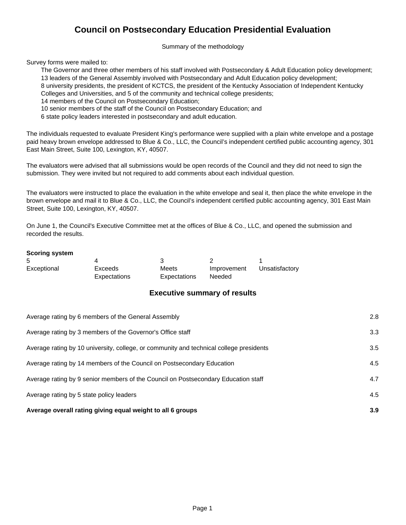# **Council on Postsecondary Education Presidential Evaluation**

Summary of the methodology

Survey forms were mailed to:

The Governor and three other members of his staff involved with Postsecondary & Adult Education policy development; 13 leaders of the General Assembly involved with Postsecondary and Adult Education policy development; 8 university presidents, the president of KCTCS, the president of the Kentucky Association of Independent Kentucky Colleges and Universities, and 5 of the community and technical college presidents;

- 14 members of the Council on Postsecondary Education;
- 10 senior members of the staff of the Council on Postsecondary Education; and

6 state policy leaders interested in postsecondary and adult education.

The individuals requested to evaluate President King's performance were supplied with a plain white envelope and a postage paid heavy brown envelope addressed to Blue & Co., LLC, the Council's independent certified public accounting agency, 301 East Main Street, Suite 100, Lexington, KY, 40507.

The evaluators were advised that all submissions would be open records of the Council and they did not need to sign the submission. They were invited but not required to add comments about each individual question.

The evaluators were instructed to place the evaluation in the white envelope and seal it, then place the white envelope in the brown envelope and mail it to Blue & Co., LLC, the Council's independent certified public accounting agency, 301 East Main Street, Suite 100, Lexington, KY, 40507.

On June 1, the Council's Executive Committee met at the offices of Blue & Co., LLC, and opened the submission and recorded the results.

#### **Scoring system**

| 5           |              |              |             |                |
|-------------|--------------|--------------|-------------|----------------|
| Exceptional | Exceeds      | Meets        | Improvement | Unsatisfactory |
|             | Expectations | Expectations | Needed      |                |

#### **Executive summary of results**

| Average overall rating giving equal weight to all 6 groups                              | 3.9 |
|-----------------------------------------------------------------------------------------|-----|
| Average rating by 5 state policy leaders                                                | 4.5 |
| Average rating by 9 senior members of the Council on Postsecondary Education staff      | 4.7 |
| Average rating by 14 members of the Council on Postsecondary Education                  | 4.5 |
| Average rating by 10 university, college, or community and technical college presidents | 3.5 |
| Average rating by 3 members of the Governor's Office staff                              | 3.3 |
| Average rating by 6 members of the General Assembly                                     | 2.8 |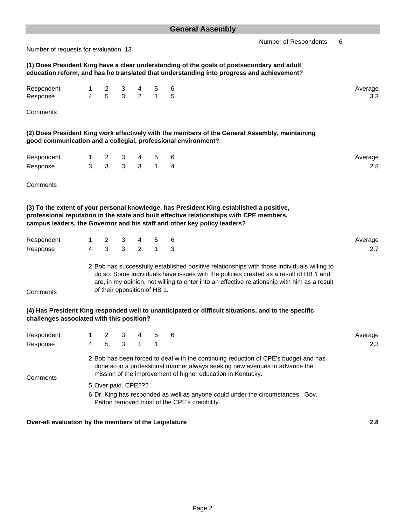| Number of requests for evaluation, 13                         |  |  |  | Number of Respondents 6                                                                                                                                                                 |                |
|---------------------------------------------------------------|--|--|--|-----------------------------------------------------------------------------------------------------------------------------------------------------------------------------------------|----------------|
|                                                               |  |  |  | (1) Does President King have a clear understanding of the goals of postsecondary and adult<br>education reform, and has he translated that understanding into progress and achievement? |                |
| Respondent 1 2 3 4 5 6<br>Response 4 5 3 2 1 5                |  |  |  |                                                                                                                                                                                         | Average<br>3.3 |
| Comments                                                      |  |  |  |                                                                                                                                                                                         |                |
| good communication and a collegial, professional environment? |  |  |  | (2) Does President King work effectively with the members of the General Assembly, maintaining                                                                                          |                |

Respondent 1 2 3 4 5 6 Average Response 3 3 3 3 1 4 2.8

**Comments** 

**(3) To the extent of your personal knowledge, has President King established a positive, professional reputation in the state and built effective relationships with CPE members, campus leaders, the Governor and his staff and other key policy leaders?**

of their opposition of HB 1.

| Respondent |  | 1 2 3 4 5 6           |  |                                                                                                                                                                                      | Average |
|------------|--|-----------------------|--|--------------------------------------------------------------------------------------------------------------------------------------------------------------------------------------|---------|
| Response   |  | 4   3   3   2   1   3 |  |                                                                                                                                                                                      |         |
|            |  |                       |  | 2 Bob has successfully established positive relationships with those individuals willing to<br>do so. Some individuals have issues with the policies created as a result of HB 1 and |         |

are, in my opinion, not willing to enter into an effective relationship with him as a result

**Comments** 

#### **(4) Has President King responded well to unanticipated or difficult situations, and to the specific challenges associated with this position?**

| Respondent |   | 2 3 |                     |  | -6                                                                                                                                                                                                                               | Average |
|------------|---|-----|---------------------|--|----------------------------------------------------------------------------------------------------------------------------------------------------------------------------------------------------------------------------------|---------|
| Response   | 4 | 5   | -3                  |  |                                                                                                                                                                                                                                  | 2.3     |
| Comments   |   |     |                     |  | 2 Bob has been forced to deal with the continuing reduction of CPE's budget and has<br>done so in a professional manner always seeking new avenues to advance the<br>mission of the improvement of higher education in Kentucky. |         |
|            |   |     | 5 Over paid. CPE??? |  | 6 Dr. King has responded as well as anyone could under the circumstances. Gov.<br>Patton removed most of the CPE's credibility.                                                                                                  |         |

**Over-all evaluation by the members of the Legislature 2.8**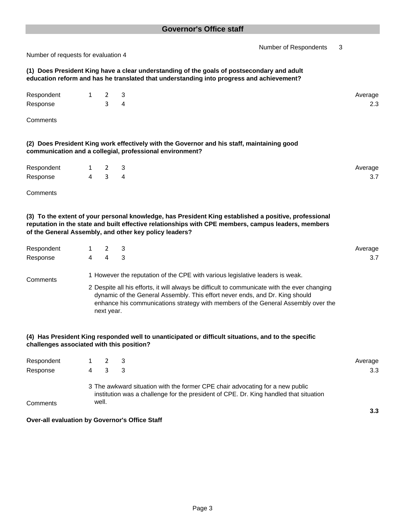Number of Respondents 3 Number of requests for evaluation 4 **(1) Does President King have a clear understanding of the goals of postsecondary and adult education reform and has he translated that understanding into progress and achievement?** Respondent 1 2 3 Average  $R$ esponse  $3 \t3 \t4$ **Comments (2) Does President King work effectively with the Governor and his staff, maintaining good communication and a collegial, professional environment?** Respondent 1 2 3 Average  $R$ esponse and  $4$  3  $4$  3  $4$  3  $4$  3  $3$  7  $3$  3  $4$  3  $3$  3  $4$  3  $3$  3  $4$  3  $4$  3  $4$  3  $4$  3  $4$  3  $4$  3  $4$  3  $4$  3  $4$  3  $4$  3  $4$  3  $4$  3  $4$  3  $4$  3  $4$  3  $4$  3  $4$  3  $4$  3  $4$  3  $4$  3  $4$  3  $4$  3  $4$  3  $4$  5  $4$ **Comments (3) To the extent of your personal knowledge, has President King established a positive, professional reputation in the state and built effective relationships with CPE members, campus leaders, members of the General Assembly, and other key policy leaders?** Respondent 1 2 3 Average Response 4 4 3 3.7 **Comments** 2 Despite all his efforts, it will always be difficult to communicate with the ever changing **(4) Has President King responded well to unanticipated or difficult situations, and to the specific challenges associated with this position?** Respondent 1 2 3 Average  $\blacksquare$  Response  $\blacksquare$  4  $\blacksquare$  3  $\blacksquare$  3  $\blacksquare$  3  $\blacksquare$  3  $\blacksquare$  3  $\blacksquare$  3  $\blacksquare$  3  $\blacksquare$  3  $\blacksquare$  3  $\blacksquare$  3  $\blacksquare$  3  $\blacksquare$  3  $\blacksquare$  3  $\blacksquare$  3  $\blacksquare$  3  $\blacksquare$  3  $\blacksquare$  3  $\blacksquare$  3  $\blacksquare$  3  $\blacksquare$  3  $\blacksquare$  3  $\blacksquare$  **Comments** 3 The awkward situation with the former CPE chair advocating for a new public 1 However the reputation of the CPE with various legislative leaders is weak. dynamic of the General Assembly. This effort never ends, and Dr. King should enhance his communications strategy with members of the General Assembly over the next year. institution was a challenge for the president of CPE. Dr. King handled that situation well.

**Over-all evaluation by Governor's Office Staff**

**3.3**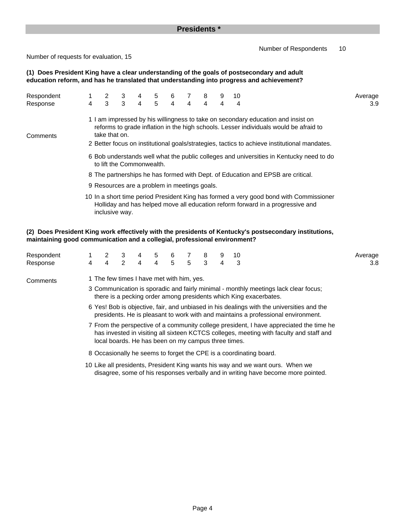#### **Presidents \***

Number of Respondents 10

Number of requests for evaluation, 15

**(1) Does President King have a clear understanding of the goals of postsecondary and adult education reform, and has he translated that understanding into progress and achievement?**

| Respondent |                                                                                                                      | $2 \quad$                                    | 3            | 4         | 5 | 6              | 7 8            |                | 9 | 10                                                                                                                                                                                                                                                                        |                                                                                        | Average |  |  |
|------------|----------------------------------------------------------------------------------------------------------------------|----------------------------------------------|--------------|-----------|---|----------------|----------------|----------------|---|---------------------------------------------------------------------------------------------------------------------------------------------------------------------------------------------------------------------------------------------------------------------------|----------------------------------------------------------------------------------------|---------|--|--|
| Response   | 4                                                                                                                    | $3^{\circ}$                                  | $\mathbf{3}$ | $4 \quad$ | 5 | $\overline{4}$ | $\overline{4}$ | $\overline{4}$ | 4 | 4                                                                                                                                                                                                                                                                         |                                                                                        | 3.9     |  |  |
| Comments   |                                                                                                                      | take that on.                                |              |           |   |                |                |                |   | 1 I am impressed by his willingness to take on secondary education and insist on<br>reforms to grade inflation in the high schools. Lesser individuals would be afraid to<br>2 Better focus on institutional goals/strategies, tactics to achieve institutional mandates. |                                                                                        |         |  |  |
|            | 6 Bob understands well what the public colleges and universities in Kentucky need to do<br>to lift the Commonwealth. |                                              |              |           |   |                |                |                |   |                                                                                                                                                                                                                                                                           |                                                                                        |         |  |  |
|            |                                                                                                                      |                                              |              |           |   |                |                |                |   | 8 The partnerships he has formed with Dept. of Education and EPSB are critical.                                                                                                                                                                                           |                                                                                        |         |  |  |
|            |                                                                                                                      | 9 Resources are a problem in meetings goals. |              |           |   |                |                |                |   |                                                                                                                                                                                                                                                                           |                                                                                        |         |  |  |
|            |                                                                                                                      | inclusive way.                               |              |           |   |                |                |                |   | Holliday and has helped move all education reform forward in a progressive and                                                                                                                                                                                            | 10 In a short time period President King has formed a very good bond with Commissioner |         |  |  |

#### **maintaining good communication and a collegial, professional environment? (2) Does President King work effectively with the presidents of Kentucky's postsecondary institutions,**

| Respondent |          |                                                                                                                                                                                                                                           | 3           | 4         | 5              | 6 |                     | 8 | 9 | 10                                                                 |                                                                                     | Average |  |  |  |  |
|------------|----------|-------------------------------------------------------------------------------------------------------------------------------------------------------------------------------------------------------------------------------------------|-------------|-----------|----------------|---|---------------------|---|---|--------------------------------------------------------------------|-------------------------------------------------------------------------------------|---------|--|--|--|--|
| Response   | $4 \sim$ | $\overline{4}$                                                                                                                                                                                                                            | $2^{\circ}$ | $4 \quad$ | $\overline{4}$ |   | $5 \quad 5 \quad 3$ |   | 4 | $\overline{\phantom{a}}$ 3                                         |                                                                                     | 3.8     |  |  |  |  |
| Comments   |          | 1 The few times I have met with him, yes.                                                                                                                                                                                                 |             |           |                |   |                     |   |   |                                                                    |                                                                                     |         |  |  |  |  |
|            |          |                                                                                                                                                                                                                                           |             |           |                |   |                     |   |   | there is a pecking order among presidents which King exacerbates.  | 3 Communication is sporadic and fairly minimal - monthly meetings lack clear focus; |         |  |  |  |  |
|            |          | 6 Yes! Bob is objective, fair, and unbiased in his dealings with the universities and the<br>presidents. He is pleasant to work with and maintains a professional environment.                                                            |             |           |                |   |                     |   |   |                                                                    |                                                                                     |         |  |  |  |  |
|            |          | 7 From the perspective of a community college president, I have appreciated the time he<br>has invested in visiting all sixteen KCTCS colleges, meeting with faculty and staff and<br>local boards. He has been on my campus three times. |             |           |                |   |                     |   |   |                                                                    |                                                                                     |         |  |  |  |  |
|            |          |                                                                                                                                                                                                                                           |             |           |                |   |                     |   |   | 8 Occasionally he seems to forget the CPE is a coordinating board. |                                                                                     |         |  |  |  |  |
|            |          |                                                                                                                                                                                                                                           |             |           |                |   |                     |   |   |                                                                    |                                                                                     |         |  |  |  |  |

10 Like all presidents, President King wants his way and we want ours. When we disagree, some of his responses verbally and in writing have become more pointed.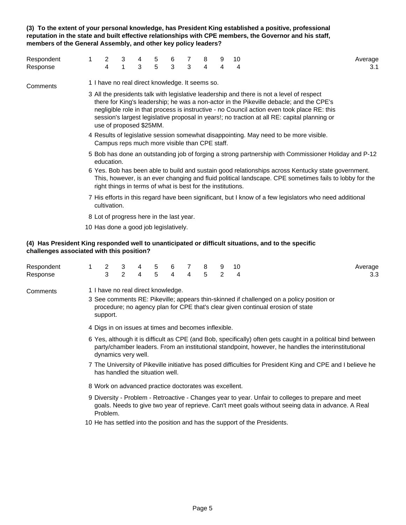**(3) To the extent of your personal knowledge, has President King established a positive, professional reputation in the state and built effective relationships with CPE members, the Governor and his staff, members of the General Assembly, and other key policy leaders?**

| Respondent |                                                                                                                                                                                                                                                                             | 3            | 4 | 5 | 6 |   | 8 |   | 10 | Average                                                                                                                                                                                                                                                                                                                                                                             |  |  |  |  |
|------------|-----------------------------------------------------------------------------------------------------------------------------------------------------------------------------------------------------------------------------------------------------------------------------|--------------|---|---|---|---|---|---|----|-------------------------------------------------------------------------------------------------------------------------------------------------------------------------------------------------------------------------------------------------------------------------------------------------------------------------------------------------------------------------------------|--|--|--|--|
| Response   | 4                                                                                                                                                                                                                                                                           | $\mathbf{1}$ | 3 | 5 | 3 | 3 | 4 | 4 | 4  | 3.1                                                                                                                                                                                                                                                                                                                                                                                 |  |  |  |  |
| Comments   | 1 I have no real direct knowledge. It seems so.                                                                                                                                                                                                                             |              |   |   |   |   |   |   |    |                                                                                                                                                                                                                                                                                                                                                                                     |  |  |  |  |
|            | use of proposed \$25MM.                                                                                                                                                                                                                                                     |              |   |   |   |   |   |   |    | 3 All the presidents talk with legislative leadership and there is not a level of respect<br>there for King's leadership; he was a non-actor in the Pikeville debacle; and the CPE's<br>negligible role in that process is instructive - no Council action even took place RE: this<br>session's largest legislative proposal in years!; no traction at all RE: capital planning or |  |  |  |  |
|            | 4 Results of legislative session somewhat disappointing. May need to be more visible.<br>Campus reps much more visible than CPE staff.                                                                                                                                      |              |   |   |   |   |   |   |    |                                                                                                                                                                                                                                                                                                                                                                                     |  |  |  |  |
|            | 5 Bob has done an outstanding job of forging a strong partnership with Commissioner Holiday and P-12<br>education.                                                                                                                                                          |              |   |   |   |   |   |   |    |                                                                                                                                                                                                                                                                                                                                                                                     |  |  |  |  |
|            | 6 Yes. Bob has been able to build and sustain good relationships across Kentucky state government.<br>This, however, is an ever changing and fluid political landscape. CPE sometimes fails to lobby for the<br>right things in terms of what is best for the institutions. |              |   |   |   |   |   |   |    |                                                                                                                                                                                                                                                                                                                                                                                     |  |  |  |  |
|            | cultivation.                                                                                                                                                                                                                                                                |              |   |   |   |   |   |   |    | 7 His efforts in this regard have been significant, but I know of a few legislators who need additional                                                                                                                                                                                                                                                                             |  |  |  |  |
|            | 8 Lot of progress here in the last year.                                                                                                                                                                                                                                    |              |   |   |   |   |   |   |    |                                                                                                                                                                                                                                                                                                                                                                                     |  |  |  |  |
|            | 10 Has done a good job legislatively.                                                                                                                                                                                                                                       |              |   |   |   |   |   |   |    |                                                                                                                                                                                                                                                                                                                                                                                     |  |  |  |  |

#### **(4) Has President King responded well to unanticipated or difficult situations, and to the specific challenges associated with this position?**

| Respondent |                                                                                                                                                                                                                                            | 2                                                     | 3              | 4 | 5 | 6              |   | 8 | 9             | 10 | Average                                                                                                                                                                     |  |  |  |  |  |
|------------|--------------------------------------------------------------------------------------------------------------------------------------------------------------------------------------------------------------------------------------------|-------------------------------------------------------|----------------|---|---|----------------|---|---|---------------|----|-----------------------------------------------------------------------------------------------------------------------------------------------------------------------------|--|--|--|--|--|
| Response   |                                                                                                                                                                                                                                            | 3                                                     | $\overline{2}$ | 4 | 5 | $\overline{4}$ | 4 | 5 | $\mathcal{P}$ | 4  | 3.3                                                                                                                                                                         |  |  |  |  |  |
| Comments   |                                                                                                                                                                                                                                            | 1 I have no real direct knowledge.<br>support.        |                |   |   |                |   |   |               |    | 3 See comments RE: Pikeville; appears thin-skinned if challenged on a policy position or<br>procedure; no agency plan for CPE that's clear given continual erosion of state |  |  |  |  |  |
|            |                                                                                                                                                                                                                                            | 4 Digs in on issues at times and becomes inflexible.  |                |   |   |                |   |   |               |    |                                                                                                                                                                             |  |  |  |  |  |
|            | 6 Yes, although it is difficult as CPE (and Bob, specifically) often gets caught in a political bind between<br>party/chamber leaders. From an institutional standpoint, however, he handles the interinstitutional<br>dynamics very well. |                                                       |                |   |   |                |   |   |               |    |                                                                                                                                                                             |  |  |  |  |  |
|            | 7 The University of Pikeville initiative has posed difficulties for President King and CPE and I believe he<br>has handled the situation well.                                                                                             |                                                       |                |   |   |                |   |   |               |    |                                                                                                                                                                             |  |  |  |  |  |
|            |                                                                                                                                                                                                                                            | 8 Work on advanced practice doctorates was excellent. |                |   |   |                |   |   |               |    |                                                                                                                                                                             |  |  |  |  |  |
|            |                                                                                                                                                                                                                                            |                                                       |                |   |   |                |   |   |               |    | 9 Diversity - Problem - Retroactive - Changes year to year. Unfair to colleges to prepare and meet                                                                          |  |  |  |  |  |

- goals. Needs to give two year of reprieve. Can't meet goals without seeing data in advance. A Real Problem.
- 10 He has settled into the position and has the support of the Presidents.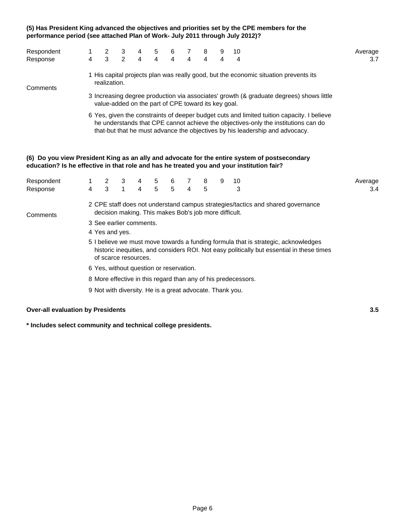#### **(5) Has President King advanced the objectives and priorities set by the CPE members for the performance period (see attached Plan of Work- July 2011 through July 2012)?**

| Respondent                                                                                | 1                   | $\overline{c}$                                           | 3                   | 4 | 5                   | 6                   | 7                       | 8      | 9 | 10                                                                                                                                                                                                                                                               | Average        |
|-------------------------------------------------------------------------------------------|---------------------|----------------------------------------------------------|---------------------|---|---------------------|---------------------|-------------------------|--------|---|------------------------------------------------------------------------------------------------------------------------------------------------------------------------------------------------------------------------------------------------------------------|----------------|
| Response                                                                                  | 4                   | 3                                                        | 2                   | 4 | 4                   | $\overline{4}$      | 4                       | 4      | 4 | 4                                                                                                                                                                                                                                                                | 3.7            |
| Comments                                                                                  |                     | realization.                                             |                     |   |                     |                     |                         |        |   | 1 His capital projects plan was really good, but the economic situation prevents its                                                                                                                                                                             |                |
|                                                                                           |                     | value-added on the part of CPE toward its key goal.      |                     |   |                     |                     |                         |        |   | 3 Increasing degree production via associates' growth (& graduate degrees) shows little                                                                                                                                                                          |                |
|                                                                                           |                     |                                                          |                     |   |                     |                     |                         |        |   | 6 Yes, given the constraints of deeper budget cuts and limited tuition capacity. I believe<br>he understands that CPE cannot achieve the objectives-only the institutions can do<br>that-but that he must advance the objectives by his leadership and advocacy. |                |
| education? Is he effective in that role and has he treated you and your institution fair? |                     |                                                          |                     |   |                     |                     |                         |        |   | (6) Do you view President King as an ally and advocate for the entire system of postsecondary                                                                                                                                                                    |                |
| Respondent<br>Response                                                                    | 1<br>$\overline{4}$ | 2<br>3                                                   | 3<br>$\overline{1}$ | 4 | 5<br>$\overline{5}$ | 6<br>$\overline{5}$ | $\overline{\mathbf{4}}$ | 8<br>5 | 9 | 10<br>3                                                                                                                                                                                                                                                          | Average<br>3.4 |
| Comments                                                                                  |                     | decision making. This makes Bob's job more difficult.    |                     |   |                     |                     |                         |        |   | 2 CPE staff does not understand campus strategies/tactics and shared governance                                                                                                                                                                                  |                |
|                                                                                           |                     | 3 See earlier comments.<br>4 Yes and yes.                |                     |   |                     |                     |                         |        |   |                                                                                                                                                                                                                                                                  |                |
|                                                                                           |                     | of scarce resources.                                     |                     |   |                     |                     |                         |        |   | 5 I believe we must move towards a funding formula that is strategic, acknowledges<br>historic inequities, and considers ROI. Not easy politically but essential in these times                                                                                  |                |
|                                                                                           |                     | 6 Yes, without question or reservation.                  |                     |   |                     |                     |                         |        |   |                                                                                                                                                                                                                                                                  |                |
|                                                                                           |                     |                                                          |                     |   |                     |                     |                         |        |   | 8 More effective in this regard than any of his predecessors.                                                                                                                                                                                                    |                |
|                                                                                           |                     | 9 Not with diversity. He is a great advocate. Thank you. |                     |   |                     |                     |                         |        |   |                                                                                                                                                                                                                                                                  |                |

#### **Over-all evaluation by Presidents 3.5**

**\* Includes select community and technical college presidents.**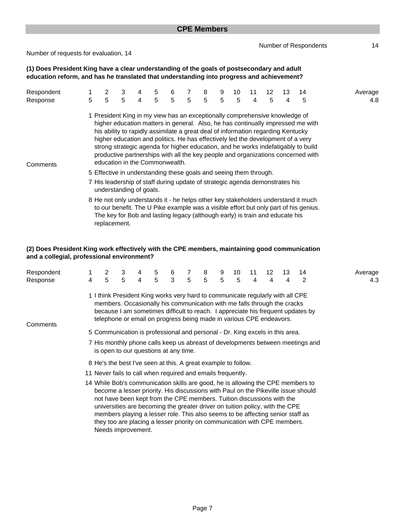Number of Respondents 14

Number of requests for evaluation, 14

**(1) Does President King have a clear understanding of the goals of postsecondary and adult education reform, and has he translated that understanding into progress and achievement?**

| Respondent |                                                                                                                                                                                                                                                                                                                                                                                                                                                                                                                                                  |                                                                                              | 3 | 4 | 5 | 6 |   | 8 | 9 | 10 | 11 |   | 13 | 14                                                                                                                                                                        | Average |
|------------|--------------------------------------------------------------------------------------------------------------------------------------------------------------------------------------------------------------------------------------------------------------------------------------------------------------------------------------------------------------------------------------------------------------------------------------------------------------------------------------------------------------------------------------------------|----------------------------------------------------------------------------------------------|---|---|---|---|---|---|---|----|----|---|----|---------------------------------------------------------------------------------------------------------------------------------------------------------------------------|---------|
| Response   | 5                                                                                                                                                                                                                                                                                                                                                                                                                                                                                                                                                | 5                                                                                            | 5 | 4 | 5 | 5 | 5 | 5 | 5 | 5  | 4  | 5 | 4  | 5                                                                                                                                                                         | 4.8     |
| Comments   | 1 President King in my view has an exceptionally comprehensive knowledge of<br>higher education matters in general. Also, he has continually impressed me with<br>his ability to rapidly assimilate a great deal of information regarding Kentucky<br>higher education and politics. He has effectively led the development of a very<br>strong strategic agenda for higher education, and he works indefatigably to build<br>productive partnerships with all the key people and organizations concerned with<br>education in the Commonwealth. |                                                                                              |   |   |   |   |   |   |   |    |    |   |    |                                                                                                                                                                           |         |
|            | 5 Effective in understanding these goals and seeing them through.                                                                                                                                                                                                                                                                                                                                                                                                                                                                                |                                                                                              |   |   |   |   |   |   |   |    |    |   |    |                                                                                                                                                                           |         |
|            | 7 His leadership of staff during update of strategic agenda demonstrates his<br>understanding of goals.                                                                                                                                                                                                                                                                                                                                                                                                                                          |                                                                                              |   |   |   |   |   |   |   |    |    |   |    |                                                                                                                                                                           |         |
|            |                                                                                                                                                                                                                                                                                                                                                                                                                                                                                                                                                  | The key for Bob and lasting legacy (although early) is train and educate his<br>replacement. |   |   |   |   |   |   |   |    |    |   |    | 8 He not only understands it - he helps other key stakeholders understand it much<br>to our benefit. The U Pike example was a visible effort but only part of his genius. |         |

#### **(2) Does President King work effectively with the CPE members, maintaining good communication and a collegial, professional environment?**

| Respondent |                                                                                                                                                                                                                                                                                                                                                                                                                                                                                                                    |                                                                                                                                                                                                                                   | 3 | 4 | 5 | 6            | 7 | 8 | 9 | 10 | 11 | 12 | 13 | 14                                                                              | Average |  |
|------------|--------------------------------------------------------------------------------------------------------------------------------------------------------------------------------------------------------------------------------------------------------------------------------------------------------------------------------------------------------------------------------------------------------------------------------------------------------------------------------------------------------------------|-----------------------------------------------------------------------------------------------------------------------------------------------------------------------------------------------------------------------------------|---|---|---|--------------|---|---|---|----|----|----|----|---------------------------------------------------------------------------------|---------|--|
| Response   | 4                                                                                                                                                                                                                                                                                                                                                                                                                                                                                                                  | 5                                                                                                                                                                                                                                 | 5 | 4 | 5 | $\mathbf{3}$ | 5 | 5 | 5 | 5  | 4  | 4  | 4  | 2                                                                               | 4.3     |  |
| Comments   |                                                                                                                                                                                                                                                                                                                                                                                                                                                                                                                    | 1 I think President King works very hard to communicate regularly with all CPE<br>members. Occasionally his communication with me falls through the cracks<br>telephone or email on progress being made in various CPE endeavors. |   |   |   |              |   |   |   |    |    |    |    | because I am sometimes difficult to reach. I appreciate his frequent updates by |         |  |
|            |                                                                                                                                                                                                                                                                                                                                                                                                                                                                                                                    | 5 Communication is professional and personal - Dr. King excels in this area.                                                                                                                                                      |   |   |   |              |   |   |   |    |    |    |    |                                                                                 |         |  |
|            |                                                                                                                                                                                                                                                                                                                                                                                                                                                                                                                    | 7 His monthly phone calls keep us abreast of developments between meetings and<br>is open to our questions at any time.                                                                                                           |   |   |   |              |   |   |   |    |    |    |    |                                                                                 |         |  |
|            |                                                                                                                                                                                                                                                                                                                                                                                                                                                                                                                    | 8 He's the best I've seen at this. A great example to follow.                                                                                                                                                                     |   |   |   |              |   |   |   |    |    |    |    |                                                                                 |         |  |
|            | 11 Never fails to call when required and emails frequently.                                                                                                                                                                                                                                                                                                                                                                                                                                                        |                                                                                                                                                                                                                                   |   |   |   |              |   |   |   |    |    |    |    |                                                                                 |         |  |
|            | 14 While Bob's communication skills are good, he is allowing the CPE members to<br>become a lesser priority. His discussions with Paul on the Pikeville issue should<br>not have been kept from the CPE members. Tuition discussions with the<br>universities are becoming the greater driver on tuition policy, with the CPE<br>members playing a lesser role. This also seems to be affecting senior staff as<br>they too are placing a lesser priority on communication with CPE members.<br>Needs improvement. |                                                                                                                                                                                                                                   |   |   |   |              |   |   |   |    |    |    |    |                                                                                 |         |  |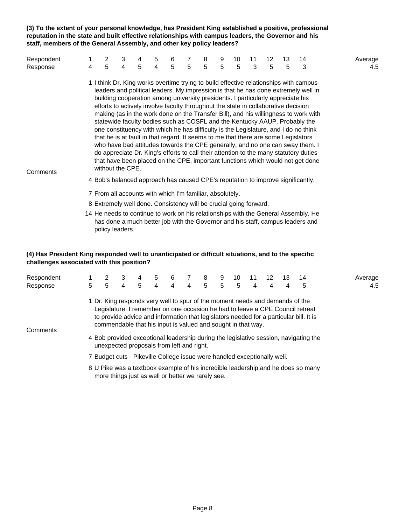**(3) To the extent of your personal knowledge, has President King established a positive, professional reputation in the state and built effective relationships with campus leaders, the Governor and his staff, members of the General Assembly, and other key policy leaders?**

| Respondent |   | 2                                                                                                                                                                                         | 3 | 4 | 5 | 6 |   | 8 | 9 | 10 | 11 | 12 | 13 | 14                                                                                                                                                                                                                                                                                                                                                                                                                                                                                                                                                                                                                                                                                                                                                                                        | Average |
|------------|---|-------------------------------------------------------------------------------------------------------------------------------------------------------------------------------------------|---|---|---|---|---|---|---|----|----|----|----|-------------------------------------------------------------------------------------------------------------------------------------------------------------------------------------------------------------------------------------------------------------------------------------------------------------------------------------------------------------------------------------------------------------------------------------------------------------------------------------------------------------------------------------------------------------------------------------------------------------------------------------------------------------------------------------------------------------------------------------------------------------------------------------------|---------|
| Response   | 4 | 5                                                                                                                                                                                         | 4 | 5 | 4 | 5 | 5 | 5 | 5 | 5  | 3  | 5  | 5  | 3                                                                                                                                                                                                                                                                                                                                                                                                                                                                                                                                                                                                                                                                                                                                                                                         | 4.5     |
| Comments   |   | building cooperation among university presidents. I particularly appreciate his<br>efforts to actively involve faculty throughout the state in collaborative decision<br>without the CPE. |   |   |   |   |   |   |   |    |    |    |    | 1 I think Dr. King works overtime trying to build effective relationships with campus<br>leaders and political leaders. My impression is that he has done extremely well in<br>making (as in the work done on the Transfer Bill), and his willingness to work with<br>statewide faculty bodies such as COSFL and the Kentucky AAUP. Probably the<br>one constituency with which he has difficulty is the Legislature, and I do no think<br>that he is at fault in that regard. It seems to me that there are some Legislators<br>who have bad attitudes towards the CPE generally, and no one can sway them. I<br>do appreciate Dr. King's efforts to call their attention to the many statutory duties<br>that have been placed on the CPE, important functions which would not get done |         |
|            |   |                                                                                                                                                                                           |   |   |   |   |   |   |   |    |    |    |    | 4 Bob's balanced approach has caused CPE's reputation to improve significantly.                                                                                                                                                                                                                                                                                                                                                                                                                                                                                                                                                                                                                                                                                                           |         |
|            |   | 7 From all accounts with which I'm familiar, absolutely.<br>8 Extremely well done. Consistency will be crucial going forward.                                                             |   |   |   |   |   |   |   |    |    |    |    |                                                                                                                                                                                                                                                                                                                                                                                                                                                                                                                                                                                                                                                                                                                                                                                           |         |
|            |   |                                                                                                                                                                                           |   |   |   |   |   |   |   |    |    |    |    |                                                                                                                                                                                                                                                                                                                                                                                                                                                                                                                                                                                                                                                                                                                                                                                           |         |

14 He needs to continue to work on his relationships with the General Assembly. He has done a much better job with the Governor and his staff, campus leaders and policy leaders.

#### **(4) Has President King responded well to unanticipated or difficult situations, and to the specific challenges associated with this position?**

more things just as well or better we rarely see.

| Respondent<br>Response | 5 | 5                                                                                                         | 3<br>4 | 4<br>5 | 5<br>$\overline{4}$ | 6<br>4 | 7<br>4 | 8<br>5 | 9<br>5 | 10<br>5 | 11<br>4 | 12<br>4 | 13<br>4 | 14<br>5                                                                                                                                                                                                                                                                                                                                         | Average<br>4.5 |
|------------------------|---|-----------------------------------------------------------------------------------------------------------|--------|--------|---------------------|--------|--------|--------|--------|---------|---------|---------|---------|-------------------------------------------------------------------------------------------------------------------------------------------------------------------------------------------------------------------------------------------------------------------------------------------------------------------------------------------------|----------------|
| Comments               |   | commendable that his input is valued and sought in that way.<br>unexpected proposals from left and right. |        |        |                     |        |        |        |        |         |         |         |         | 1 Dr. King responds very well to spur of the moment needs and demands of the<br>Legislature. I remember on one occasion he had to leave a CPE Council retreat<br>to provide advice and information that legislators needed for a particular bill. It is<br>4 Bob provided exceptional leadership during the legislative session, navigating the |                |
|                        |   | 7 Budget cuts - Pikeville College issue were handled exceptionally well.                                  |        |        |                     |        |        |        |        |         |         |         |         |                                                                                                                                                                                                                                                                                                                                                 |                |
|                        |   |                                                                                                           |        |        |                     |        |        |        |        |         |         |         |         | 8 U Pike was a textbook example of his incredible leadership and he does so many                                                                                                                                                                                                                                                                |                |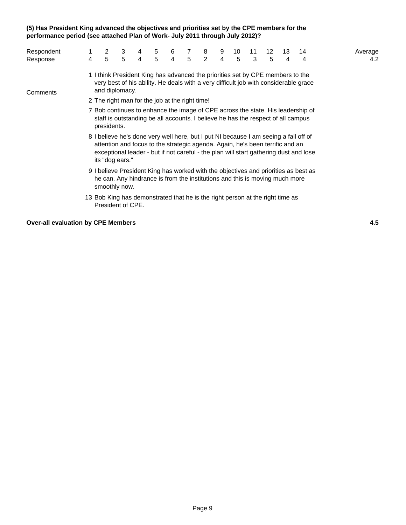#### **(5) Has President King advanced the objectives and priorities set by the CPE members for the performance period (see attached Plan of Work- July 2011 through July 2012)?**

| Respondent |   |                                                                                                                                                                                                                                                                                   | 3               | 4 | 5 | 6              | 7 | 8 | 9 | 10              | 11 | 12 | 13 | 14                                                                              | Average |  |
|------------|---|-----------------------------------------------------------------------------------------------------------------------------------------------------------------------------------------------------------------------------------------------------------------------------------|-----------------|---|---|----------------|---|---|---|-----------------|----|----|----|---------------------------------------------------------------------------------|---------|--|
| Response   | 4 | 5                                                                                                                                                                                                                                                                                 | $5\phantom{.0}$ | 4 | 5 | $\overline{4}$ | 5 | 2 | 4 | $5\phantom{.0}$ | 3  | 5  | 4  | 4                                                                               | 4.2     |  |
| Comments   |   | 1 I think President King has advanced the priorities set by CPE members to the<br>very best of his ability. He deals with a very difficult job with considerable grace<br>and diplomacy.                                                                                          |                 |   |   |                |   |   |   |                 |    |    |    |                                                                                 |         |  |
|            |   | 2 The right man for the job at the right time!                                                                                                                                                                                                                                    |                 |   |   |                |   |   |   |                 |    |    |    |                                                                                 |         |  |
|            |   | staff is outstanding be all accounts. I believe he has the respect of all campus<br>presidents.                                                                                                                                                                                   |                 |   |   |                |   |   |   |                 |    |    |    | 7 Bob continues to enhance the image of CPE across the state. His leadership of |         |  |
|            |   | 8 I believe he's done very well here, but I put NI because I am seeing a fall off of<br>attention and focus to the strategic agenda. Again, he's been terrific and an<br>exceptional leader - but if not careful - the plan will start gathering dust and lose<br>its "dog ears." |                 |   |   |                |   |   |   |                 |    |    |    |                                                                                 |         |  |
|            |   | 9 I believe President King has worked with the objectives and priorities as best as<br>he can. Any hindrance is from the institutions and this is moving much more<br>smoothly now.                                                                                               |                 |   |   |                |   |   |   |                 |    |    |    |                                                                                 |         |  |
|            |   | 13 Bob King has demonstrated that he is the right person at the right time as<br>President of CPE.                                                                                                                                                                                |                 |   |   |                |   |   |   |                 |    |    |    |                                                                                 |         |  |

#### **Over-all evaluation by CPE Members 4.5**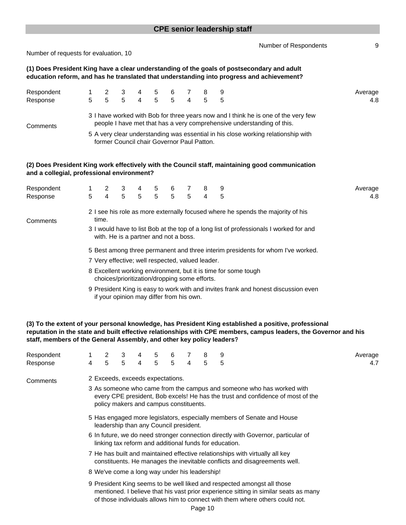|                                            |        |                                                                                           |                     |                |        |                     |                |                     | <b>CPE senior leadership staff</b> |                                                                                                                                                                                         |                |
|--------------------------------------------|--------|-------------------------------------------------------------------------------------------|---------------------|----------------|--------|---------------------|----------------|---------------------|------------------------------------|-----------------------------------------------------------------------------------------------------------------------------------------------------------------------------------------|----------------|
| Number of requests for evaluation, 10      |        |                                                                                           |                     |                |        |                     |                |                     |                                    | Number of Respondents                                                                                                                                                                   | 9              |
|                                            |        |                                                                                           |                     |                |        |                     |                |                     |                                    | (1) Does President King have a clear understanding of the goals of postsecondary and adult<br>education reform, and has he translated that understanding into progress and achievement? |                |
| Respondent<br>Response                     | 5      | 2<br>$\overline{5}$                                                                       | 3<br>$\overline{5}$ | $\overline{4}$ | 5      | 6<br>$\overline{5}$ | $\overline{4}$ | 8<br>5              | 9<br>5                             |                                                                                                                                                                                         | Average<br>4.8 |
| Comments                                   |        |                                                                                           |                     |                |        |                     |                |                     |                                    | 3 I have worked with Bob for three years now and I think he is one of the very few<br>people I have met that has a very comprehensive understanding of this.                            |                |
|                                            |        | former Council chair Governor Paul Patton.                                                |                     |                |        |                     |                |                     |                                    | 5 A very clear understanding was essential in his close working relationship with                                                                                                       |                |
| and a collegial, professional environment? |        |                                                                                           |                     |                |        |                     |                |                     |                                    | (2) Does President King work effectively with the Council staff, maintaining good communication                                                                                         |                |
| Respondent<br>Response                     | 1<br>5 | 2<br>$\overline{4}$                                                                       | 3<br>5              | 5              | 5<br>5 | 6<br>$\overline{5}$ | 7<br>5         | 8<br>$\overline{4}$ | 9<br>5                             |                                                                                                                                                                                         | Average<br>4.8 |
| Comments                                   |        | time.                                                                                     |                     |                |        |                     |                |                     |                                    | 2 I see his role as more externally focused where he spends the majority of his<br>3 I would have to list Bob at the top of a long list of professionals I worked for and               |                |
|                                            |        | with. He is a partner and not a boss.<br>7 Very effective; well respected, valued leader. |                     |                |        |                     |                |                     |                                    | 5 Best among three permanent and three interim presidents for whom I've worked.                                                                                                         |                |
|                                            |        | choices/prioritization/dropping some efforts.                                             |                     |                |        |                     |                |                     |                                    | 8 Excellent working environment, but it is time for some tough                                                                                                                          |                |
|                                            |        | if your opinion may differ from his own.                                                  |                     |                |        |                     |                |                     |                                    | 9 President King is easy to work with and invites frank and honest discussion even                                                                                                      |                |

**(3) To the extent of your personal knowledge, has President King established a positive, professional reputation in the state and built effective relationships with CPE members, campus leaders, the Governor and his staff, members of the General Assembly, and other key policy leaders?**

| Respondent |                                                                                                                                                                                                                                                 | $\overline{2}$                                                                                                                                            | 3                                             | 4 | 5 <sup>5</sup> | 6           |   | 8 | 9                                                                                                                                                        | Average |  |  |  |  |  |
|------------|-------------------------------------------------------------------------------------------------------------------------------------------------------------------------------------------------------------------------------------------------|-----------------------------------------------------------------------------------------------------------------------------------------------------------|-----------------------------------------------|---|----------------|-------------|---|---|----------------------------------------------------------------------------------------------------------------------------------------------------------|---------|--|--|--|--|--|
| Response   | 4                                                                                                                                                                                                                                               | 5                                                                                                                                                         | $5^{\circ}$                                   | 4 | 5              | $5^{\circ}$ | 4 | 5 | 5                                                                                                                                                        | 4.7     |  |  |  |  |  |
| Comments   |                                                                                                                                                                                                                                                 |                                                                                                                                                           | 2 Exceeds, exceeds expectations.              |   |                |             |   |   |                                                                                                                                                          |         |  |  |  |  |  |
|            |                                                                                                                                                                                                                                                 |                                                                                                                                                           | policy makers and campus constituents.        |   |                |             |   |   | 3 As someone who came from the campus and someone who has worked with<br>every CPE president, Bob excels! He has the trust and confidence of most of the |         |  |  |  |  |  |
|            |                                                                                                                                                                                                                                                 | 5 Has engaged more legislators, especially members of Senate and House<br>leadership than any Council president.                                          |                                               |   |                |             |   |   |                                                                                                                                                          |         |  |  |  |  |  |
|            |                                                                                                                                                                                                                                                 | 6 In future, we do need stronger connection directly with Governor, particular of<br>linking tax reform and additional funds for education.               |                                               |   |                |             |   |   |                                                                                                                                                          |         |  |  |  |  |  |
|            |                                                                                                                                                                                                                                                 | 7 He has built and maintained effective relationships with virtually all key<br>constituents. He manages the inevitable conflicts and disagreements well. |                                               |   |                |             |   |   |                                                                                                                                                          |         |  |  |  |  |  |
|            |                                                                                                                                                                                                                                                 |                                                                                                                                                           | 8 We've come a long way under his leadership! |   |                |             |   |   |                                                                                                                                                          |         |  |  |  |  |  |
|            | 9 President King seems to be well liked and respected amongst all those<br>mentioned. I believe that his vast prior experience sitting in similar seats as many<br>of those individuals allows him to connect with them where others could not. |                                                                                                                                                           |                                               |   |                |             |   |   |                                                                                                                                                          |         |  |  |  |  |  |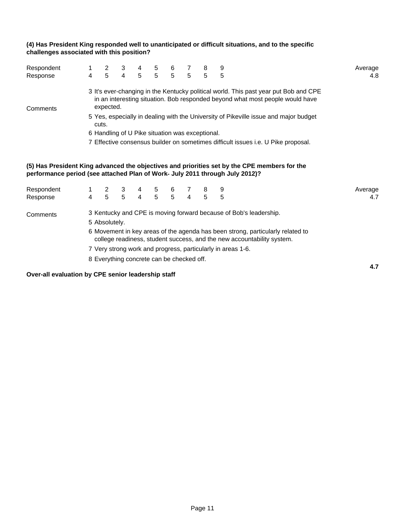#### **(4) Has President King responded well to unanticipated or difficult situations, and to the specific challenges associated with this position?**

| Respondent<br>Response                                                            |                                                                                                                                                                                                                                                                                                                                        | $\begin{array}{cccccccc} 1 & 2 & 3 & 4 & 5 & 6 & 7 & 8 \\ 4 & 5 & 4 & 5 & 5 & 5 & 5 & 5 \end{array}$ |  |  |  |  |  |  | 5                                                                                            | Average<br>4.8 |  |  |  |  |
|-----------------------------------------------------------------------------------|----------------------------------------------------------------------------------------------------------------------------------------------------------------------------------------------------------------------------------------------------------------------------------------------------------------------------------------|------------------------------------------------------------------------------------------------------|--|--|--|--|--|--|----------------------------------------------------------------------------------------------|----------------|--|--|--|--|
| Comments                                                                          | 3 It's ever-changing in the Kentucky political world. This past year put Bob and CPE<br>in an interesting situation. Bob responded beyond what most people would have<br>expected.<br>5 Yes, especially in dealing with the University of Pikeville issue and major budget<br>cuts.<br>6 Handling of U Pike situation was exceptional. |                                                                                                      |  |  |  |  |  |  |                                                                                              |                |  |  |  |  |
| 7 Effective consensus builder on sometimes difficult issues i.e. U Pike proposal. |                                                                                                                                                                                                                                                                                                                                        |                                                                                                      |  |  |  |  |  |  |                                                                                              |                |  |  |  |  |
| performance period (see attached Plan of Work- July 2011 through July 2012)?      |                                                                                                                                                                                                                                                                                                                                        |                                                                                                      |  |  |  |  |  |  | (5) Has President King advanced the objectives and priorities set by the CPE members for the |                |  |  |  |  |
| Respondent                                                                        |                                                                                                                                                                                                                                                                                                                                        |                                                                                                      |  |  |  |  |  |  |                                                                                              | Average        |  |  |  |  |
| Response                                                                          |                                                                                                                                                                                                                                                                                                                                        | 1 2 3 4 5 6 7 8<br>4 5 5 4 5 5 4 5                                                                   |  |  |  |  |  |  | 5                                                                                            | 4.7            |  |  |  |  |
| Comments                                                                          |                                                                                                                                                                                                                                                                                                                                        | 5 Absolutely.                                                                                        |  |  |  |  |  |  | 3 Kentucky and CPE is moving forward because of Bob's leadership.                            |                |  |  |  |  |

6 Movement in key areas of the agenda has been strong, particularly related to college readiness, student success, and the new accountability system.

**4.7**

7 Very strong work and progress, particularly in areas 1-6.

8 Everything concrete can be checked off.

**Over-all evaluation by CPE senior leadership staff**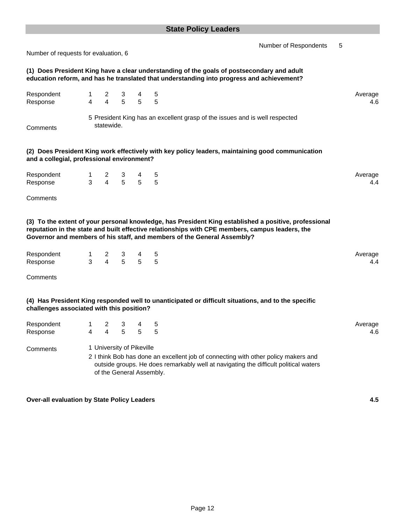| Number of requests for evaluation, 6               |                |                                  |                                                       |        | Number of Respondents                                                                                                                                                                                                                                                               | 5 |                |
|----------------------------------------------------|----------------|----------------------------------|-------------------------------------------------------|--------|-------------------------------------------------------------------------------------------------------------------------------------------------------------------------------------------------------------------------------------------------------------------------------------|---|----------------|
|                                                    |                |                                  |                                                       |        | (1) Does President King have a clear understanding of the goals of postsecondary and adult<br>education reform, and has he translated that understanding into progress and achievement?                                                                                             |   |                |
| Respondent<br>Response                             | 1<br>4         | 2<br>$\overline{4}$              | 3<br>5                                                | 4<br>5 | 5<br>5                                                                                                                                                                                                                                                                              |   | Average<br>4.6 |
| Comments                                           |                | statewide.                       |                                                       |        | 5 President King has an excellent grasp of the issues and is well respected                                                                                                                                                                                                         |   |                |
| and a collegial, professional environment?         |                |                                  |                                                       |        | (2) Does President King work effectively with key policy leaders, maintaining good communication                                                                                                                                                                                    |   |                |
| Respondent<br>Response                             | $1 \quad$<br>3 | $\mathbf{2}$<br>$\overline{4}$   | 3<br>5                                                | 4<br>5 | 5<br>5                                                                                                                                                                                                                                                                              |   | Average<br>4.4 |
| Comments                                           |                |                                  |                                                       |        |                                                                                                                                                                                                                                                                                     |   |                |
|                                                    |                |                                  |                                                       |        | (3) To the extent of your personal knowledge, has President King established a positive, professional<br>reputation in the state and built effective relationships with CPE members, campus leaders, the<br>Governor and members of his staff, and members of the General Assembly? |   |                |
| Respondent<br>Response                             | $1 \quad$<br>3 | $\mathbf{2}$<br>$\overline{4}$   | 3<br>5                                                | 4<br>5 | 5<br>5                                                                                                                                                                                                                                                                              |   | Average<br>4.4 |
| Comments                                           |                |                                  |                                                       |        |                                                                                                                                                                                                                                                                                     |   |                |
| challenges associated with this position?          |                |                                  |                                                       |        | (4) Has President King responded well to unanticipated or difficult situations, and to the specific                                                                                                                                                                                 |   |                |
| Respondent<br>Response                             | 4              | $\overline{c}$<br>$\overline{4}$ | 3<br>5                                                | 4<br>5 | 5<br>5                                                                                                                                                                                                                                                                              |   | Average<br>4.6 |
| Comments                                           |                |                                  | 1 University of Pikeville<br>of the General Assembly. |        | 2 I think Bob has done an excellent job of connecting with other policy makers and<br>outside groups. He does remarkably well at navigating the difficult political waters                                                                                                          |   |                |
| <b>Over-all evaluation by State Policy Leaders</b> |                |                                  |                                                       |        |                                                                                                                                                                                                                                                                                     |   | 4.5            |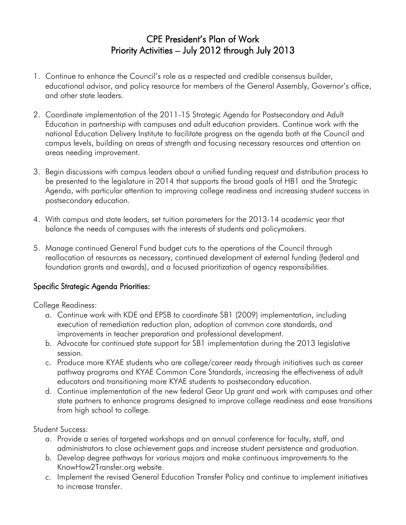# CPE President's Plan of Work Priority Activities – July 2012 through July 2013

- 1. Continue to enhance the Council's role as a respected and credible consensus builder, educational advisor, and policy resource for members of the General Assembly, Governor's office, and other state leaders.
- 2. Coordinate implementation of the 2011-15 Strategic Agenda for Postsecondary and Adult Education in partnership with campuses and adult education providers. Continue work with the national Education Delivery Institute to facilitate progress on the agenda both at the Council and campus levels, building on areas of strength and focusing necessary resources and attention on areas needing improvement.
- 3. Begin discussions with campus leaders about a unified funding request and distribution process to be presented to the legislature in 2014 that supports the broad goals of HB1 and the Strategic Agenda, with particular attention to improving college readiness and increasing student success in postsecondary education.
- 4. With campus and state leaders, set tuition parameters for the 2013-14 academic year that balance the needs of campuses with the interests of students and policymakers.
- 5. Manage continued General Fund budget cuts to the operations of the Council through reallocation of resources as necessary, continued development of external funding (federal and foundation grants and awards), and a focused prioritization of agency responsibilities.

# Specific Strategic Agenda Priorities:

# College Readiness:

- a. Continue work with KDE and EPSB to coordinate SB1 (2009) implementation, including execution of remediation reduction plan, adoption of common core standards, and improvements in teacher preparation and professional development.
- b. Advocate for continued state support for SB1 implementation during the 2013 legislative session.
- c. Produce more KYAE students who are college/career ready through initiatives such as career pathway programs and KYAE Common Core Standards, increasing the effectiveness of adult educators and transitioning more KYAE students to postsecondary education.
- d. Continue implementation of the new federal Gear Up grant and work with campuses and other state partners to enhance programs designed to improve college readiness and ease transitions from high school to college.

# Student Success:

- a. Provide a series of targeted workshops and an annual conference for faculty, staff, and administrators to close achievement gaps and increase student persistence and graduation.
- b. Develop degree pathways for various majors and make continuous improvements to the KnowHow2Transfer.org website.
- c. Implement the revised General Education Transfer Policy and continue to implement initiatives to increase transfer.